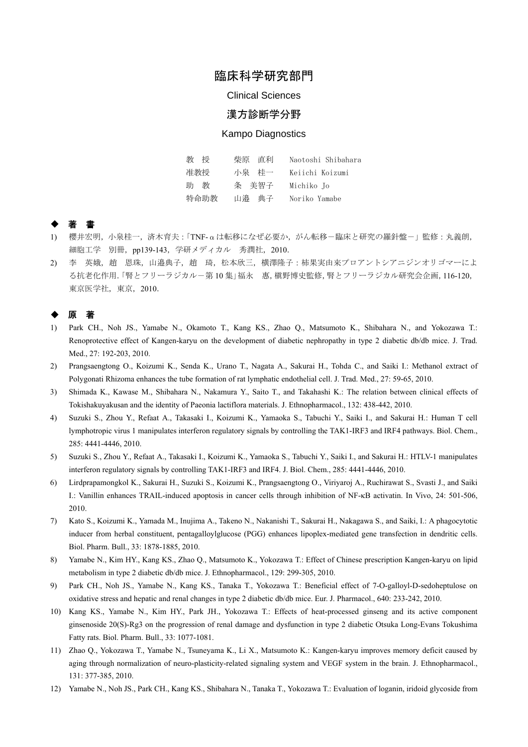# 臨床科学研究部門

Clinical Sciences

## 漢方診断学分野

### Kampo Diagnostics

| 教<br>授 | 柴原 直利 | Naotoshi Shibahara |
|--------|-------|--------------------|
| 准教授    | 小泉の桂一 | Keiichi Koizumi    |
| 教<br>助 | 条 美智子 | Michiko Jo         |
| 特命助教   | 山瀑の典子 | Noriko Yamabe      |

### ◆ 著 書

- 1) 櫻井宏明,小泉桂一,済木育夫:「TNF-αは転移になぜ必要か,がん転移-臨床と研究の羅針盤-」監修:丸義朗, 細胞工学 別冊, pp139-143, 学研メディカル 秀潤社, 2010.
- 2) 李 英娥, 趙 恩珠, 山邉典子, 趙 琦, 松本欣三, 横澤隆子:柿果実由来プロアントシアニジンオリゴマーによ る抗老化作用.「腎とフリーラジカル-第 10 集」福永 惠,槇野博史監修,腎とフリーラジカル研究会企画,116-120, 東京医学社,東京,2010.

### ◆ 原 著

- 1) Park CH., Noh JS., Yamabe N., Okamoto T., Kang KS., Zhao Q., Matsumoto K., Shibahara N., and Yokozawa T.: Renoprotective effect of Kangen-karyu on the development of diabetic nephropathy in type 2 diabetic db/db mice. J. Trad. Med., 27: 192-203, 2010.
- 2) Prangsaengtong O., Koizumi K., Senda K., Urano T., Nagata A., Sakurai H., Tohda C., and Saiki I.: Methanol extract of Polygonati Rhizoma enhances the tube formation of rat lymphatic endothelial cell. J. Trad. Med., 27: 59-65, 2010.
- 3) Shimada K., Kawase M., Shibahara N., Nakamura Y., Saito T., and Takahashi K.: The relation between clinical effects of Tokishakuyakusan and the identity of Paeonia lactiflora materials. J. Ethnopharmacol., 132: 438-442, 2010.
- 4) Suzuki S., Zhou Y., Refaat A., Takasaki I., Koizumi K., Yamaoka S., Tabuchi Y., Saiki I., and Sakurai H.: Human T cell lymphotropic virus 1 manipulates interferon regulatory signals by controlling the TAK1-IRF3 and IRF4 pathways. Biol. Chem., 285: 4441-4446, 2010.
- 5) Suzuki S., Zhou Y., Refaat A., Takasaki I., Koizumi K., Yamaoka S., Tabuchi Y., Saiki I., and Sakurai H.: HTLV-1 manipulates interferon regulatory signals by controlling TAK1-IRF3 and IRF4. J. Biol. Chem., 285: 4441-4446, 2010.
- 6) Lirdprapamongkol K., Sakurai H., Suzuki S., Koizumi K., Prangsaengtong O., Viriyaroj A., Ruchirawat S., Svasti J., and Saiki I.: Vanillin enhances TRAIL-induced apoptosis in cancer cells through inhibition of NF-κB activatin. In Vivo, 24: 501-506, 2010.
- 7) Kato S., Koizumi K., Yamada M., Inujima A., Takeno N., Nakanishi T., Sakurai H., Nakagawa S., and Saiki, I.: A phagocytotic inducer from herbal constituent, pentagalloylglucose (PGG) enhances lipoplex-mediated gene transfection in dendritic cells. Biol. Pharm. Bull., 33: 1878-1885, 2010.
- 8) Yamabe N., Kim HY., Kang KS., Zhao Q., Matsumoto K., Yokozawa T.: Effect of Chinese prescription Kangen-karyu on lipid metabolism in type 2 diabetic db/db mice. J. Ethnopharmacol., 129: 299-305, 2010.
- 9) Park CH., Noh JS., Yamabe N., Kang KS., Tanaka T., Yokozawa T.: Beneficial effect of 7-O-galloyl-D-sedoheptulose on oxidative stress and hepatic and renal changes in type 2 diabetic db/db mice. Eur. J. Pharmacol., 640: 233-242, 2010.
- 10) Kang KS., Yamabe N., Kim HY., Park JH., Yokozawa T.: Effects of heat-processed ginseng and its active component ginsenoside 20(S)-Rg3 on the progression of renal damage and dysfunction in type 2 diabetic Otsuka Long-Evans Tokushima Fatty rats. Biol. Pharm. Bull., 33: 1077-1081.
- 11) Zhao Q., Yokozawa T., Yamabe N., Tsuneyama K., Li X., Matsumoto K.: Kangen-karyu improves memory deficit caused by aging through normalization of neuro-plasticity-related signaling system and VEGF system in the brain. J. Ethnopharmacol., 131: 377-385, 2010.
- 12) Yamabe N., Noh JS., Park CH., Kang KS., Shibahara N., Tanaka T., Yokozawa T.: Evaluation of loganin, iridoid glycoside from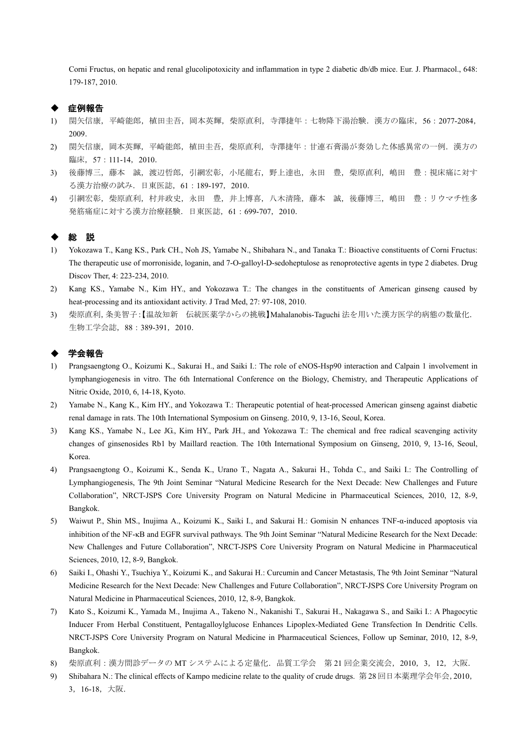Corni Fructus, on hepatic and renal glucolipotoxicity and inflammation in type 2 diabetic db/db mice. Eur. J. Pharmacol., 648: 179-187, 2010.

### 症例報告

- 1) 関矢信康,平崎能郎,植田圭吾,岡本英輝,柴原直利,寺澤捷年:七物降下湯治験.漢方の臨床,56:2077-2084, 2009.
- 2) 関矢信康,岡本英輝,平崎能郎,植田圭吾,柴原直利,寺澤捷年:甘連石膏湯が奏効した体感異常の一例.漢方の 臨床, 57:111-14, 2010.
- 3) 後藤博三,藤本 誠,渡辺哲郎,引網宏彰,小尾龍右,野上達也,永田 豊,柴原直利,嶋田 豊:視床痛に対す る漢方治療の試み.日東医誌,61:189-197,2010.
- 4) 引網宏彰,柴原直利,村井政史,永田 豊,井上博喜,八木清隆,藤本 誠,後藤博三,嶋田 豊:リウマチ性多 発筋痛症に対する漢方治療経験.日東医誌,61:699-707,2010.

#### ◆ 総 説

- 1) Yokozawa T., Kang KS., Park CH., Noh JS, Yamabe N., Shibahara N., and Tanaka T.: Bioactive constituents of Corni Fructus: The therapeutic use of morroniside, loganin, and 7-O-galloyl-D-sedoheptulose as renoprotective agents in type 2 diabetes. Drug Discov Ther, 4: 223-234, 2010.
- 2) Kang KS., Yamabe N., Kim HY., and Yokozawa T.: The changes in the constituents of American ginseng caused by heat-processing and its antioxidant activity. J Trad Med, 27: 97-108, 2010.
- 3) 柴原直利,条美智子:【温故知新 伝統医薬学からの挑戦】Mahalanobis-Taguchi 法を用いた漢方医学的病態の数量化. 生物工学会誌,88:389-391,2010.

#### ◆ 学会報告

- 1) Prangsaengtong O., Koizumi K., Sakurai H., and Saiki I.: The role of eNOS-Hsp90 interaction and Calpain 1 involvement in lymphangiogenesis in vitro. The 6th International Conference on the Biology, Chemistry, and Therapeutic Applications of Nitric Oxide, 2010, 6, 14-18, Kyoto.
- 2) Yamabe N., Kang K., Kim HY., and Yokozawa T.: Therapeutic potential of heat-processed American ginseng against diabetic renal damage in rats. The 10th International Symposium on Ginseng. 2010, 9, 13-16, Seoul, Korea.
- 3) Kang KS., Yamabe N., Lee JG., Kim HY., Park JH., and Yokozawa T.: The chemical and free radical scavenging activity changes of ginsenosides Rb1 by Maillard reaction. The 10th International Symposium on Ginseng, 2010, 9, 13-16, Seoul, Korea.
- 4) Prangsaengtong O., Koizumi K., Senda K., Urano T., Nagata A., Sakurai H., Tohda C., and Saiki I.: The Controlling of Lymphangiogenesis, The 9th Joint Seminar "Natural Medicine Research for the Next Decade: New Challenges and Future Collaboration", NRCT-JSPS Core University Program on Natural Medicine in Pharmaceutical Sciences, 2010, 12, 8-9, Bangkok.
- 5) Waiwut P., Shin MS., Inujima A., Koizumi K., Saiki I., and Sakurai H.: Gomisin N enhances TNF-α-induced apoptosis via inhibition of the NF-κB and EGFR survival pathways. The 9th Joint Seminar "Natural Medicine Research for the Next Decade: New Challenges and Future Collaboration", NRCT-JSPS Core University Program on Natural Medicine in Pharmaceutical Sciences, 2010, 12, 8-9, Bangkok.
- 6) Saiki I., Ohashi Y., Tsuchiya Y., Koizumi K., and Sakurai H.: Curcumin and Cancer Metastasis, The 9th Joint Seminar "Natural Medicine Research for the Next Decade: New Challenges and Future Collaboration", NRCT-JSPS Core University Program on Natural Medicine in Pharmaceutical Sciences, 2010, 12, 8-9, Bangkok.
- 7) Kato S., Koizumi K., Yamada M., Inujima A., Takeno N., Nakanishi T., Sakurai H., Nakagawa S., and Saiki I.: A Phagocytic Inducer From Herbal Constituent, Pentagalloylglucose Enhances Lipoplex-Mediated Gene Transfection In Dendritic Cells. NRCT-JSPS Core University Program on Natural Medicine in Pharmaceutical Sciences, Follow up Seminar, 2010, 12, 8-9, Bangkok.
- 8) 柴原直利:漢方問診データの MT システムによる定量化.品質工学会 第 21 回企業交流会,2010,3,12,大阪.
- 9) Shibahara N.: The clinical effects of Kampo medicine relate to the quality of crude drugs. 第 28 回日本薬理学会年会,2010, 3,16-18,大阪.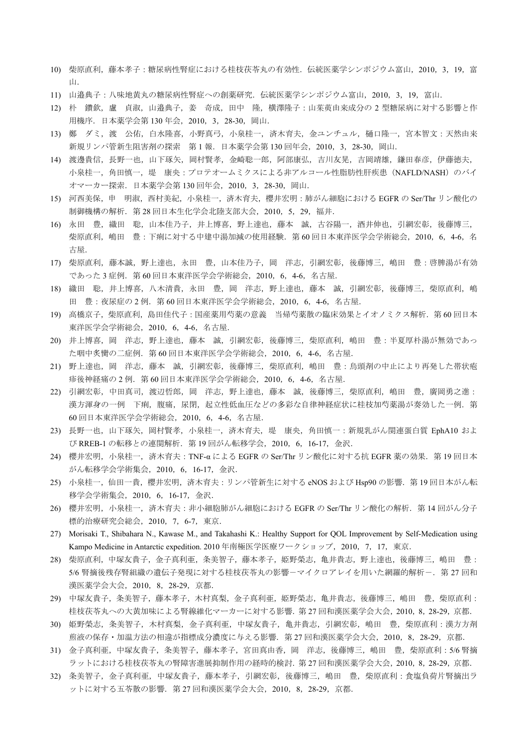- 10) 柴原直利,藤本孝子:糖尿病性腎症における桂枝茯苓丸の有効性.伝統医薬学シンポジウム富山,2010,3,19,富 山.
- 11) 山邉典子:八味地黄丸の糖尿病性腎症への創薬研究.伝統医薬学シンポジウム富山,2010,3,19,富山.
- 12) 朴 鑽欽,盧 貞淑,山邉典子,姜 奇成,田中 隆,横澤隆子:山茱萸由来成分の2型糖尿病に対する影響と作 用機序.日本薬学会第 130 年会,2010,3,28-30,岡山.
- 13) 鄭 ダミ,渡 公佑,白水隆喜,小野真弓,小泉桂一,済木育夫,金ユンチュル,樋口隆一,宮本智文:天然由来 新規リンパ管新生阻害剤の探索 第1報. 日本薬学会第 130 回年会, 2010, 3, 28-30, 岡山.
- 14) 渡邊貴信,長野一也,山下琢矢,岡村賢孝,金崎聡一郎,阿部康弘,吉川友晃,吉岡靖雄,鎌田春彦,伊藤徳夫, 小泉桂一,角田慎一,堤 康央:プロテオームミクスによる非アルコール性脂肪性肝疾患 (NAFLD/NASH)のバイ オマーカー探索. 日本薬学会第 130 回年会, 2010, 3, 28-30, 岡山.
- 15) 河西美保,申 明淑,西村美紀,小泉桂一,済木育夫,櫻井宏明:肺がん細胞における EGFR の Ser/Thr リン酸化の 制御機構の解析.第 28 回日本生化学会北陸支部大会,2010,5,29,福井.
- 16) 永田 豊,織田 聡,山本佳乃子,井上博喜,野上達也,藤本 誠,古谷陽一,酒井伸也,引網宏彰,後藤博三, 柴原直利,嶋田 豊:下痢に対する中建中湯加減の使用経験. 第60回日本東洋医学会学術総会, 2010, 6, 4-6, 名 古屋.
- 17) 柴原直利,藤本誠,野上達也,永田 豊,山本佳乃子,岡 洋志,引網宏彰,後藤博三,嶋田 豊:啓脾湯が有効 であった 3 症例.第 60 回日本東洋医学会学術総会,2010,6,4-6,名古屋.
- 18) 織田 聡,井上博喜,八木清貴,永田 豊,岡 洋志,野上達也,藤本 誠,引網宏彰,後藤博三,柴原直利,嶋 田 豊:夜尿症の2例. 第60回日本東洋医学会学術総会, 2010, 6, 4-6, 名古屋.
- 19) 高橋京子,柴原直利,島田佳代子:国産薬用芍薬の意義 当帰芍薬散の臨床効果とイオノミクス解析.第 60 回日本 東洋医学会学術総会,2010,6,4-6,名古屋.
- 20) 井上博喜,岡 洋志,野上達也,藤本 誠,引網宏彰,後藤博三,柴原直利,嶋田 豊:半夏厚朴湯が無効であっ た咽中炙臠の二症例.第 60 回日本東洋医学会学術総会,2010,6,4-6,名古屋.
- 21) 野上達也, 岡 洋志, 藤本 誠, 引網宏彰, 後藤博三, 柴原直利, 嶋田 豊: 烏頭剤の中止により再発した帯状疱 疹後神経痛の 2 例.第 60 回日本東洋医学会学術総会,2010,6,4-6,名古屋.
- 22) 引網宏彰,中田真司,渡辺哲郎,岡 洋志,野上達也,藤本 誠,後藤博三,柴原直利,嶋田 豊,廣岡勇之進: 漢方渾身の一例 下痢,腹痛,尿閉,起立性低血圧などの多彩な自律神経症状に桂枝加芍薬湯が奏効した一例. 第 60 回日本東洋医学会学術総会,2010,6,4-6,名古屋.
- 23) 長野一也,山下琢矢,岡村賢孝,小泉桂一,済木育夫,堤 康央,角田慎一:新規乳がん関連蛋白質 EphA10 およ び RREB-1 の転移との連関解析. 第 19 回がん転移学会, 2010, 6, 16-17, 金沢.
- 24) 櫻井宏明,小泉桂一,済木育夫: TNF-α による EGFR の Ser/Thr リン酸化に対する抗 EGFR 薬の効果. 第 19 回日本 がん転移学会学術集会,2010,6,16-17,金沢.
- 25) 小泉桂一,仙田一貴,櫻井宏明,済木育夫:リンパ管新生に対する eNOS および Hsp90 の影響. 第19回日本がん転 移学会学術集会,2010,6,16-17,金沢.
- 26) 櫻井宏明, 小泉桂一, 済木育夫:非小細胞肺がん細胞における EGFR の Ser/Thr リン酸化の解析. 第14 回がん分子 標的治療研究会総会,2010,7,6-7,東京.
- 27) Morisaki T., Shibahara N., Kawase M., and Takahashi K.: Healthy Support for QOL Improvement by Self-Medication using Kampo Medicine in Antarctic expedition. 2010 年南極医学医療ワークショップ,2010,7,17,東京.
- 28) 柴原直利,中塚友貴子,金子真利亜,条美智子,藤本孝子,姫野榮志,亀井貴志,野上達也,後藤博三,嶋田 豊: 5/6 腎摘後残存腎組織の遺伝子発現に対する桂枝茯苓丸の影響ーマイクロアレイを用いた網羅的解析ー. 第 27 回和 漢医薬学会大会,2010,8,28-29,京都.
- 29) 中塚友貴子,条美智子,藤本孝子,木村真梨,金子真利亜,姫野榮志,亀井貴志,後藤博三,嶋田 豊,柴原直利: 桂枝茯苓丸への大黄加味による腎線維化マーカーに対する影響.第 27 回和漢医薬学会大会,2010,8,28-29,京都.
- 30) 姫野榮志, 条美智子, 木村真梨, 金子真利亜, 中塚友貴子, 亀井貴志, 引網宏彰, 嶋田 豊, 柴原直利:漢方方剤 煎液の保存・加温方法の相違が指標成分濃度に与える影響.第 27 回和漢医薬学会大会,2010,8,28-29,京都.
- 31) 金子真利亜,中塚友貴子,条美智子,藤本孝子,宮田真由香,岡 洋志,後藤博三,嶋田 豊,柴原直利:5/6 腎摘 ラットにおける桂枝茯苓丸の腎障害進展抑制作用の経時的検討.第 27 回和漢医薬学会大会,2010,8,28-29,京都.
- 32) 条美智子,金子真利亜,中塚友貴子,藤本孝子,引網宏彰,後藤博三,嶋田 豊,柴原直利:食塩負荷片腎摘出ラ ットに対する五苓散の影響. 第 27 回和漢医薬学会大会, 2010, 8, 28-29, 京都.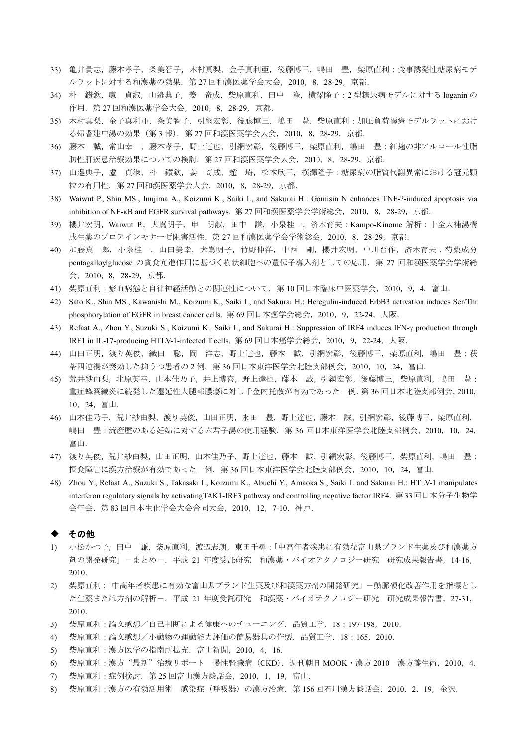- 33) 亀井貴志,藤本孝子,条美智子,木村真梨,金子真利亜,後藤博三,嶋田 豊,柴原直利:食事誘発性糖尿病モデ ルラットに対する和漢薬の効果. 第 27 回和漢医薬学会大会, 2010, 8, 28-29, 京都.
- 34) 朴 鑚欽, 慮 貞淑, 山邉典子, 姜 奇成, 柴原直利, 田中 隆, 横澤隆子: 2 型糖尿病モデルに対する loganin の 作用.第 27 回和漢医薬学会大会,2010,8,28-29,京都.
- 35) 木村真梨,金子真利亜,条美智子,引網宏彰,後藤博三,嶋田 豊,柴原直利:加圧負荷褥瘡モデルラットにおけ る帰耆建中湯の効果(第 3 報).第 27 回和漢医薬学会大会,2010,8,28-29,京都.
- 36) 藤本 誠,常山幸一,藤本孝子,野上達也,引網宏彰,後藤博三,柴原直利,嶋田 豊:紅麹の非アルコール性脂 肪性肝疾患治療効果についての検討.第 27 回和漢医薬学会大会,2010,8,28-29,京都.
- 37) 山邉典子,盧 貞淑,朴 鑚欽,姜 奇成,趙 埼,松本欣三,横澤隆子:糖尿病の脂質代謝異常における冠元顆 粒の有用性.第 27 回和漢医薬学会大会,2010,8,28-29,京都.
- 38) Waiwut P., Shin MS., Inujima A., Koizumi K., Saiki I., and Sakurai H.: Gomisin N enhances TNF-?-induced apoptosis via inhibition of NF-kB and EGFR survival pathways. 第 27 回和漢医薬学会学術総会, 2010, 8, 28-29, 京都.
- 39) 櫻井宏明,Waiwut P.,犬嶌明子,申 明淑,田中 謙,小泉桂一,済木育夫:Kampo-Kinome 解析:十全大補湯構 成生薬のプロテインキナーゼ阻害活性.第 27 回和漢医薬学会学術総会,2010,8,28-29,京都.
- 40) 加藤真一郎,小泉桂一,山田美幸,犬嶌明子,竹野伸洋,中西 剛,櫻井宏明,中川晋作,済木育夫:芍薬成分 pentagalloylglucose の貪食亢進作用に基づく樹状細胞への遺伝子導入剤としての応用. 第 27 回和漢医薬学会学術総 会,2010,8,28-29,京都.
- 41) 柴原直利:瘀血病態と自律神経活動との関連性について.第 10 回日本臨床中医薬学会,2010,9,4,富山.
- 42) Sato K., Shin MS., Kawanishi M., Koizumi K., Saiki I., and Sakurai H.: Heregulin-induced ErbB3 activation induces Ser/Thr phosphorylation of EGFR in breast cancer cells. 第 69 回日本癌学会総会, 2010, 9, 22-24, 大阪.
- 43) Refaat A., Zhou Y., Suzuki S., Koizumi K., Saiki I., and Sakurai H.: Suppression of IRF4 induces IFN-γ production through IRF1 in IL-17-producing HTLV-1-infected T cells. 第 69 回日本癌学会総会,2010,9,22-24,大阪.
- 44) 山田正明,渡り英俊,織田 聡,岡 洋志,野上達也,藤本 誠,引網宏彰,後藤博三,柴原直利,嶋田 豊:茯 苓四逆湯が奏効した抑うつ患者の 2 例.第 36 回日本東洋医学会北陸支部例会,2010,10,24,富山.
- 45) 荒井紗由梨,北原英幸,山本佳乃子,井上博喜,野上達也,藤本 誠,引網宏彰,後藤博三,柴原直利,嶋田 豊: 重症蜂窩織炎に続発した遷延性大腿部膿瘍に対し千金内托散が有効であった一例.第 36 回日本北陸支部例会,2010, 10,24,富山.
- 46) 山本佳乃子,荒井紗由梨,渡り英俊,山田正明,永田 豊,野上達也,藤本 誠,引網宏彰,後藤博三,柴原直利, 嶋田 豊:流産歴のある妊婦に対する六君子湯の使用経験.第 36 回日本東洋医学会北陸支部例会,2010,10,24, 富山.
- 47) 渡り英俊,荒井紗由梨,山田正明,山本佳乃子,野上達也,藤本 誠,引網宏彰,後藤博三,柴原直利,嶋田 豊: 摂食障害に漢方治療が有効であった一例.第 36 回日本東洋医学会北陸支部例会,2010,10,24,富山.
- 48) Zhou Y., Refaat A., Suzuki S., Takasaki I., Koizumi K., Abuchi Y., Amaoka S., Saiki I. and Sakurai H.: HTLV-1 manipulates interferon regulatory signals by activatingTAK1-IRF3 pathway and controlling negative factor IRF4. 第 33 回日本分子生物学 会年会,第 83 回日本生化学会大会合同大会,2010,12,7-10,神戸.

#### ◆ その他

- 1) 小松かつ子,田中 謙,柴原直利,渡辺志朗,東田千尋:「中高年者疾患に有効な富山県ブランド生薬及び和漢薬方 剤の開発研究」-まとめ-.平成 21 年度受託研究 和漢薬・バイオテクノロジー研究 研究成果報告書,14-16, 2010.
- 2) 柴原直利:「中高年者疾患に有効な富山県ブランド生薬及び和漢薬方剤の開発研究」-動脈硬化改善作用を指標とし た生薬または方剤の解析-. 平成 21 年度受託研究 和漢薬・バイオテクノロジー研究 研究成果報告書, 27-31, 2010.
- 3) 柴原直利:論文感想/自己判断による健康へのチューニング.品質工学,18:197-198,2010.
- 4) 柴原直利:論文感想/小動物の運動能力評価の簡易器具の作製.品質工学,18:165,2010.
- 5) 柴原直利:漢方医学の指南所拡充.富山新聞,2010,4,16.
- 6) 柴原直利:漢方"最新"治療リポート 慢性腎臓病(CKD).週刊朝日 MOOK・漢方 2010 漢方養生術,2010,4.
- 7) 柴原直利:症例検討.第 25 回富山漢方談話会,2010,1,19,富山.
- 8) 柴原直利:漢方の有効活用術 感染症(呼吸器)の漢方治療.第 156 回石川漢方談話会,2010,2,19,金沢.